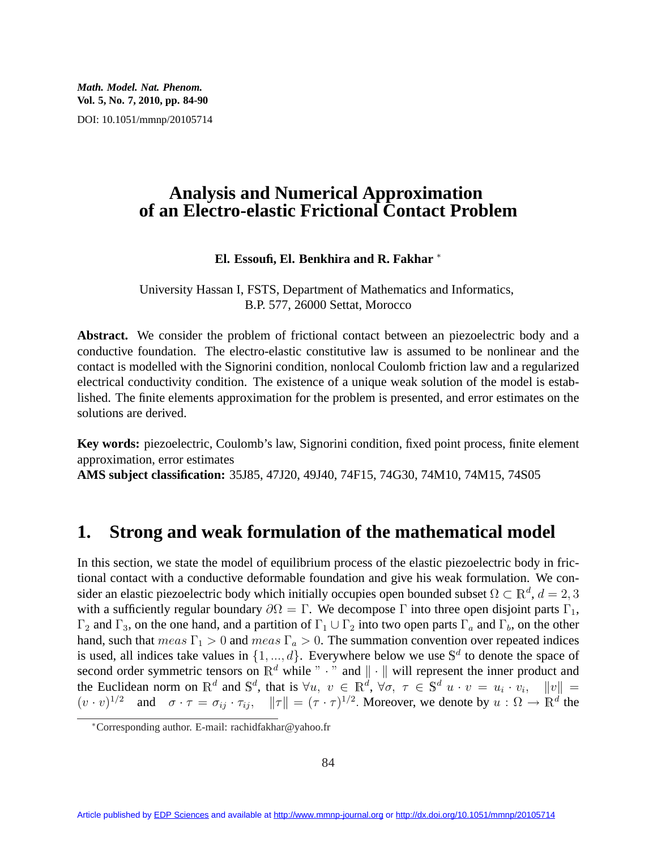*Math. Model. Nat. Phenom.* **Vol. 5, No. 7, 2010, pp. 84-90**

DOI: 10.1051/mmnp/20105714

#### **Analysis and Numerical Approximation of an Electro-elastic Frictional Contact Problem**

#### **El. Essoufi, El. Benkhira and R. Fakhar** <sup>∗</sup>

University Hassan I, FSTS, Department of Mathematics and Informatics, B.P. 577, 26000 Settat, Morocco

Abstract. We consider the problem of frictional contact between an piezoelectric body and a conductive foundation. The electro-elastic constitutive law is assumed to be nonlinear and the contact is modelled with the Signorini condition, nonlocal Coulomb friction law and a regularized electrical conductivity condition. The existence of a unique weak solution of the model is established. The finite elements approximation for the problem is presented, and error estimates on the solutions are derived.

**Key words:** piezoelectric, Coulomb's law, Signorini condition, fixed point process, finite element approximation, error estimates

**AMS subject classification:** 35J85, 47J20, 49J40, 74F15, 74G30, 74M10, 74M15, 74S05

#### **1. Strong and weak formulation of the mathematical model**

In this section, we state the model of equilibrium process of the elastic piezoelectric body in frictional contact with a conductive deformable foundation and give his weak formulation. We consider an elastic piezoelectric body which initially occupies open bounded subset  $\Omega \subset \mathbb{R}^d$ ,  $d = 2, 3$ with a sufficiently regular boundary  $\partial\Omega = \Gamma$ . We decompose  $\Gamma$  into three open disjoint parts  $\Gamma_1$ ,  $\Gamma_2$  and  $\Gamma_3$ , on the one hand, and a partition of  $\Gamma_1 \cup \Gamma_2$  into two open parts  $\Gamma_a$  and  $\Gamma_b$ , on the other hand, such that  $meas \Gamma_1 > 0$  and  $meas \Gamma_a > 0$ . The summation convention over repeated indices is used, all indices take values in  $\{1, ..., d\}$ . Everywhere below we use  $\mathbb{S}^d$  to denote the space of second order symmetric tensors on  $\mathbb{R}^d$  while " · " and  $\|\cdot\|$  will represent the inner product and the Euclidean norm on  $\mathbb{R}^d$  and  $\mathbb{S}^d$ , that is  $\forall u, v \in \mathbb{R}^d$ ,  $\forall \sigma, \tau \in \mathbb{S}^d$   $u \cdot v = u_i \cdot v_i$ ,  $||v|| =$  $(v \cdot v)^{1/2}$  and  $\sigma \cdot \tau = \sigma_{ij} \cdot \tau_{ij}$ ,  $\|\tau\| = (\tau \cdot \tau)^{1/2}$ . Moreover, we denote by  $u : \Omega \to \mathbb{R}^d$  the

<sup>∗</sup>Corresponding author. E-mail: rachidfakhar@yahoo.fr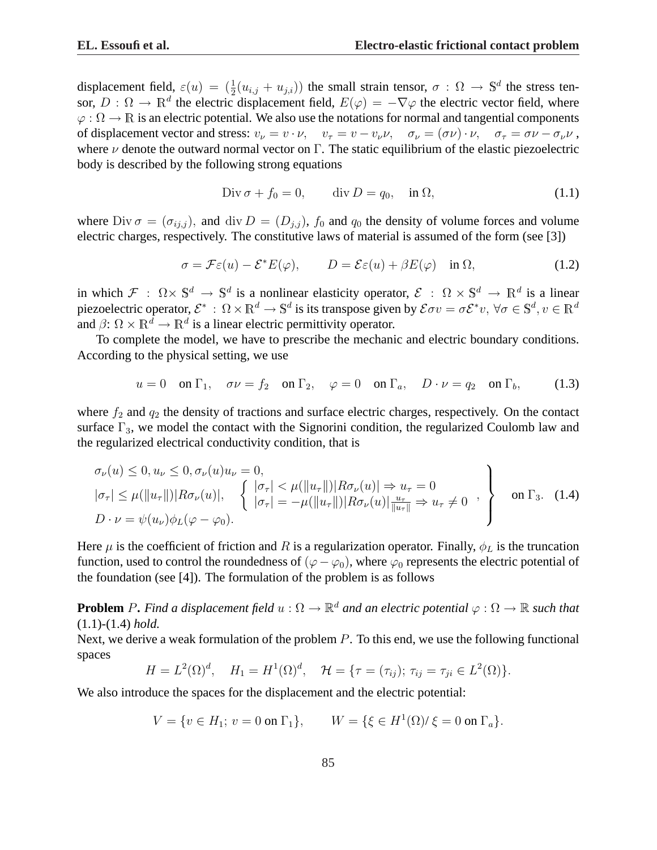displacement field,  $\varepsilon(u) = (\frac{1}{2}(u_{i,j} + u_{j,i}))$  the small strain tensor,  $\sigma : \Omega \to \mathbb{S}^d$  the stress tensor,  $D: \Omega \to \mathbb{R}^d$  the electric displacement field,  $E(\varphi) = -\nabla \varphi$  the electric vector field, where  $\varphi : \Omega \to \mathbb{R}$  is an electric potential. We also use the notations for normal and tangential components of displacement vector and stress:  $v_{\nu} = v \cdot \nu$ ,  $v_{\tau} = v - v_{\nu} \nu$ ,  $\sigma_{\nu} = (\sigma \nu) \cdot \nu$ ,  $\sigma_{\tau} = \sigma \nu - \sigma_{\nu} \nu$ , where  $\nu$  denote the outward normal vector on  $\Gamma$ . The static equilibrium of the elastic piezoelectric body is described by the following strong equations

$$
\text{Div}\,\sigma + f_0 = 0, \qquad \text{div}\,D = q_0, \quad \text{in}\,\,\Omega,\tag{1.1}
$$

where Div  $\sigma = (\sigma_{ij,j})$ , and div  $D = (D_{j,j})$ ,  $f_0$  and  $q_0$  the density of volume forces and volume electric charges, respectively. The constitutive laws of material is assumed of the form (see [3])

$$
\sigma = \mathcal{F}\varepsilon(u) - \mathcal{E}^* E(\varphi), \qquad D = \mathcal{E}\varepsilon(u) + \beta E(\varphi) \quad \text{in } \Omega,
$$
\n(1.2)

in which  $\mathcal{F}$  :  $\Omega \times \mathbb{S}^d \to \mathbb{S}^d$  is a nonlinear elasticity operator,  $\mathcal{E}$  :  $\Omega \times \mathbb{S}^d \to \mathbb{R}^d$  is a linear piezoelectric operator,  $\mathcal{E}^*: \Omega \times \mathbb{R}^d \to \mathbb{S}^d$  is its transpose given by  $\mathcal{E} \sigma v = \sigma \mathcal{E}^* v, \ \forall \sigma \in \mathbb{S}^d, v \in \mathbb{R}^d$ and  $\beta$ :  $\Omega \times \mathbb{R}^d \to \mathbb{R}^d$  is a linear electric permittivity operator.

To complete the model, we have to prescribe the mechanic and electric boundary conditions. According to the physical setting, we use

$$
u = 0
$$
 on  $\Gamma_1$ ,  $\sigma \nu = f_2$  on  $\Gamma_2$ ,  $\varphi = 0$  on  $\Gamma_a$ ,  $D \cdot \nu = q_2$  on  $\Gamma_b$ , (1.3)

where  $f_2$  and  $q_2$  the density of tractions and surface electric charges, respectively. On the contact surface  $\Gamma_3$ , we model the contact with the Signorini condition, the regularized Coulomb law and the regularized electrical conductivity condition, that is

$$
\sigma_{\nu}(u) \leq 0, u_{\nu} \leq 0, \sigma_{\nu}(u)u_{\nu} = 0,
$$
\n
$$
|\sigma_{\tau}| \leq \mu(||u_{\tau}||) |R\sigma_{\nu}(u)|, \quad \left\{ \begin{array}{l} |\sigma_{\tau}| < \mu(||u_{\tau}||) |R\sigma_{\nu}(u)| \Rightarrow u_{\tau} = 0\\ |\sigma_{\tau}| = -\mu(||u_{\tau}||) |R\sigma_{\nu}(u)| \frac{u_{\tau}}{||u_{\tau}||} \Rightarrow u_{\tau} \neq 0 \end{array} \right\} \quad \text{on } \Gamma_3. \tag{1.4}
$$
\n
$$
D \cdot \nu = \psi(u_{\nu}) \phi_L(\varphi - \varphi_0).
$$

Here  $\mu$  is the coefficient of friction and R is a regularization operator. Finally,  $\phi_L$  is the truncation function, used to control the roundedness of  $(\varphi - \varphi_0)$ , where  $\varphi_0$  represents the electric potential of the foundation (see [4]). The formulation of the problem is as follows

**Problem** P. Find a displacement field  $u : \Omega \to \mathbb{R}^d$  and an electric potential  $\varphi : \Omega \to \mathbb{R}$  such that (1.1)*-*(1.4) *hold.*

Next, we derive a weak formulation of the problem  $P$ . To this end, we use the following functional spaces

$$
H = L^{2}(\Omega)^{d}, \quad H_{1} = H^{1}(\Omega)^{d}, \quad \mathcal{H} = \{\tau = (\tau_{ij}); \, \tau_{ij} = \tau_{ji} \in L^{2}(\Omega)\}.
$$

We also introduce the spaces for the displacement and the electric potential:

$$
V = \{ v \in H_1; \ v = 0 \text{ on } \Gamma_1 \}, \qquad W = \{ \xi \in H^1(\Omega) / \xi = 0 \text{ on } \Gamma_a \}.
$$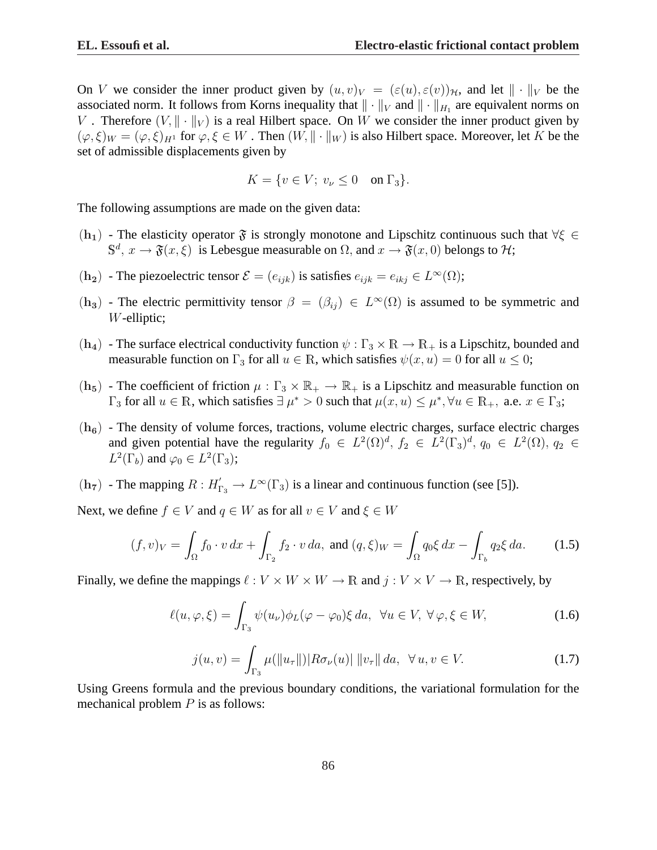On V we consider the inner product given by  $(u, v)_V = (\varepsilon(u), \varepsilon(v))_{\mathcal{H}}$ , and let  $\|\cdot\|_V$  be the associated norm. It follows from Korns inequality that  $\|\cdot\|_V$  and  $\|\cdot\|_{H_1}$  are equivalent norms on V. Therefore  $(V, \|\cdot\|_V)$  is a real Hilbert space. On W we consider the inner product given by  $(\varphi, \xi)_W = (\varphi, \xi)_H$  for  $\varphi, \xi \in W$ . Then  $(W, \|\cdot\|_W)$  is also Hilbert space. Moreover, let K be the set of admissible displacements given by

$$
K = \{ v \in V; \ v_{\nu} \le 0 \quad \text{on } \Gamma_3 \}.
$$

The following assumptions are made on the given data:

- $(h_1)$  The elasticity operator  $\mathfrak F$  is strongly monotone and Lipschitz continuous such that  $\forall \xi \in$  $\mathbb{S}^d$ ,  $x \to \mathfrak{F}(x, \xi)$  is Lebesgue measurable on  $\Omega$ , and  $x \to \mathfrak{F}(x, 0)$  belongs to  $\mathcal{H}$ ;
- $(h_2)$  The piezoelectric tensor  $\mathcal{E} = (e_{ijk})$  is satisfies  $e_{ijk} = e_{ikj} \in L^{\infty}(\Omega)$ ;
- $(h_3)$  The electric permittivity tensor  $\beta = (\beta_{ij}) \in L^{\infty}(\Omega)$  is assumed to be symmetric and W-elliptic;
- $(h_4)$  The surface electrical conductivity function  $\psi : \Gamma_3 \times \mathbb{R} \to \mathbb{R}_+$  is a Lipschitz, bounded and measurable function on  $\Gamma_3$  for all  $u \in \mathbb{R}$ , which satisfies  $\psi(x, u) = 0$  for all  $u \leq 0$ ;
- $(h_5)$  The coefficient of friction  $\mu : \Gamma_3 \times \mathbb{R}_+ \to \mathbb{R}_+$  is a Lipschitz and measurable function on  $\Gamma_3$  for all  $u \in \mathbb{R}$ , which satisfies  $\exists \mu^* > 0$  such that  $\mu(x, u) \leq \mu^*$ ,  $\forall u \in \mathbb{R}_+$ , a.e.  $x \in \Gamma_3$ ;
- $(h_6)$  The density of volume forces, tractions, volume electric charges, surface electric charges and given potential have the regularity  $f_0 \in L^2(\Omega)^d$ ,  $f_2 \in L^2(\Gamma_3)^d$ ,  $q_0 \in L^2(\Omega)$ ,  $q_2 \in$  $L^2(\Gamma_b)$  and  $\varphi_0 \in L^2(\Gamma_3)$ ;
- $(h_7)$  The mapping  $R: H'_{\Gamma_3} \to L^{\infty}(\Gamma_3)$  is a linear and continuous function (see [5]).

Next, we define  $f \in V$  and  $q \in W$  as for all  $v \in V$  and  $\xi \in W$ 

$$
(f, v)_V = \int_{\Omega} f_0 \cdot v \, dx + \int_{\Gamma_2} f_2 \cdot v \, da, \text{ and } (q, \xi)_W = \int_{\Omega} q_0 \xi \, dx - \int_{\Gamma_b} q_2 \xi \, da. \tag{1.5}
$$

Finally, we define the mappings  $\ell : V \times W \times W \to \mathbb{R}$  and  $j : V \times V \to \mathbb{R}$ , respectively, by

$$
\ell(u,\varphi,\xi) = \int_{\Gamma_3} \psi(u_\nu)\phi_L(\varphi-\varphi_0)\xi \, da, \ \ \forall u \in V, \ \forall \varphi,\xi \in W,\tag{1.6}
$$

$$
j(u, v) = \int_{\Gamma_3} \mu(||u_\tau||) |R \sigma_\nu(u)| \, ||v_\tau|| \, da, \ \ \forall \, u, v \in V. \tag{1.7}
$$

Using Greens formula and the previous boundary conditions, the variational formulation for the mechanical problem  $P$  is as follows: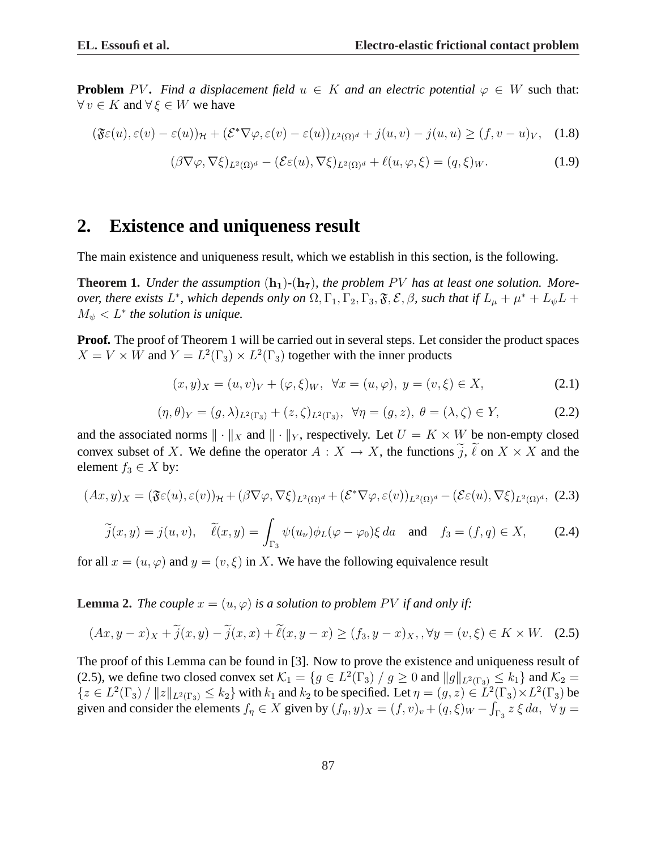**Problem** PV. Find a displacement field  $u \in K$  and an electric potential  $\varphi \in W$  such that:  $\forall v \in K$  and  $\forall \xi \in W$  we have

$$
(\mathfrak{F}\varepsilon(u), \varepsilon(v) - \varepsilon(u))_{\mathcal{H}} + (\mathcal{E}^*\nabla\varphi, \varepsilon(v) - \varepsilon(u))_{L^2(\Omega)^d} + j(u, v) - j(u, u) \ge (f, v - u)_V, \quad (1.8)
$$

$$
(\beta \nabla \varphi, \nabla \xi)_{L^2(\Omega)^d} - (\mathcal{E}\varepsilon(u), \nabla \xi)_{L^2(\Omega)^d} + \ell(u, \varphi, \xi) = (q, \xi)_W. \tag{1.9}
$$

## **2. Existence and uniqueness result**

The main existence and uniqueness result, which we establish in this section, is the following.

**Theorem 1.** *Under the assumption*  $(h_1)$ - $(h_7)$ *, the problem PV has at least one solution. Moreover, there exists*  $L^*$ *, which depends only on*  $\Omega, \Gamma_1, \Gamma_2, \Gamma_3, \mathfrak{F}, \mathcal{E}, \beta$ *, such that if*  $L_\mu + \mu^* + L_\psi L +$  $M_{\psi} < L^*$  the solution is unique.

**Proof.** The proof of Theorem 1 will be carried out in several steps. Let consider the product spaces  $X = V \times W$  and  $Y = L^2(\Gamma_3) \times L^2(\Gamma_3)$  together with the inner products

$$
(x,y)_X = (u,v)_V + (\varphi,\xi)_W, \ \forall x = (u,\varphi), \ y = (v,\xi) \in X,
$$
\n(2.1)

$$
(\eta, \theta)_Y = (g, \lambda)_{L^2(\Gamma_3)} + (z, \zeta)_{L^2(\Gamma_3)}, \ \ \forall \eta = (g, z), \ \theta = (\lambda, \zeta) \in Y,
$$
 (2.2)

and the associated norms  $\|\cdot\|_X$  and  $\|\cdot\|_Y$ , respectively. Let  $U = K \times W$  be non-empty closed convex subset of X. We define the operator  $A: X \to X$ , the functions  $\tilde{j}$ ,  $\tilde{\ell}$  on  $X \times X$  and the element  $f_3 \in X$  by:

$$
(Ax,y)_X = (\mathfrak{F}\varepsilon(u), \varepsilon(v))_{\mathcal{H}} + (\beta \nabla \varphi, \nabla \xi)_{L^2(\Omega)^d} + (\mathcal{E}^* \nabla \varphi, \varepsilon(v))_{L^2(\Omega)^d} - (\mathcal{E}\varepsilon(u), \nabla \xi)_{L^2(\Omega)^d},
$$
 (2.3)

$$
\widetilde{j}(x,y) = j(u,v), \quad \widetilde{\ell}(x,y) = \int_{\Gamma_3} \psi(u_\nu)\phi_L(\varphi - \varphi_0)\xi \, da \quad \text{and} \quad f_3 = (f,q) \in X,\tag{2.4}
$$

for all  $x = (u, \varphi)$  and  $y = (v, \xi)$  in X. We have the following equivalence result

**Lemma 2.** *The couple*  $x = (u, \varphi)$  *is a solution to problem PV if and only if:* 

$$
(Ax, y - x)_X + \widetilde{j}(x, y) - \widetilde{j}(x, x) + \widetilde{\ell}(x, y - x) \ge (f_3, y - x)_X, \forall y = (v, \xi) \in K \times W. \tag{2.5}
$$

The proof of this Lemma can be found in [3]. Now to prove the existence and uniqueness result of (2.5), we define two closed convex set  $\mathcal{K}_1 = \{g \in L^2(\Gamma_3) / g \ge 0 \text{ and } ||g||_{L^2(\Gamma_3)} \le k_1\}$  and  $\mathcal{K}_2 =$  $\{z \in L^2(\Gamma_3) / ||z||_{L^2(\Gamma_3)} \le k_2\}$  with  $k_1$  and  $k_2$  to be specified. Let  $\eta = (g, z) \in L^2(\Gamma_3) \times L^2(\Gamma_3)$  be given and consider the elements  $f_{\eta} \in X$  given by  $(f_{\eta}, y)_X = (f, v)_v + (q, \xi)_W - \int_{\Gamma_3} z \xi da$ ,  $\forall y =$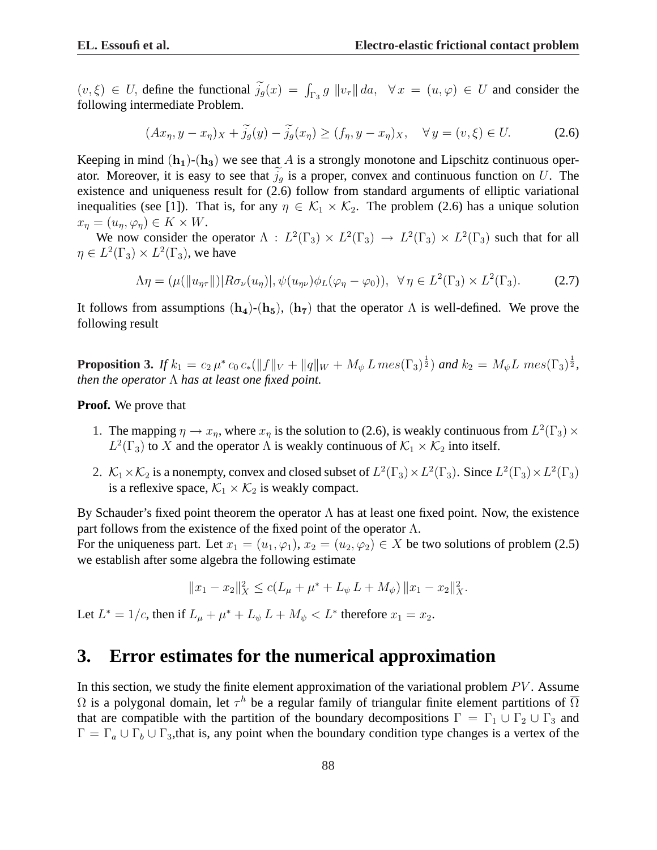$(v, \xi) \in U$ , define the functional  $\tilde{j}_g(x) = \int_{\Gamma_3} g ||v_\tau|| \, da$ ,  $\forall x = (u, \varphi) \in U$  and consider the following intermediate Problem.

$$
(Ax_{\eta}, y - x_{\eta})_X + \widetilde{j}_{g}(y) - \widetilde{j}_{g}(x_{\eta}) \ge (f_{\eta}, y - x_{\eta})_X, \quad \forall y = (v, \xi) \in U. \tag{2.6}
$$

Keeping in mind  $(h_1)$ - $(h_3)$  we see that A is a strongly monotone and Lipschitz continuous operator. Moreover, it is easy to see that  $j_q$  is a proper, convex and continuous function on U. The existence and uniqueness result for (2.6) follow from standard arguments of elliptic variational inequalities (see [1]). That is, for any  $\eta \in \mathcal{K}_1 \times \mathcal{K}_2$ . The problem (2.6) has a unique solution  $x_n = (u_n, \varphi_n) \in K \times W$ .

We now consider the operator  $\Lambda : L^2(\Gamma_3) \times L^2(\Gamma_3) \to L^2(\Gamma_3) \times L^2(\Gamma_3)$  such that for all  $\eta \in L^2(\Gamma_3) \times L^2(\Gamma_3)$ , we have

$$
\Lambda \eta = (\mu(||u_{\eta\tau}||) | R\sigma_{\nu}(u_{\eta})|, \psi(u_{\eta\nu})\phi_L(\varphi_{\eta} - \varphi_0)), \ \ \forall \eta \in L^2(\Gamma_3) \times L^2(\Gamma_3). \tag{2.7}
$$

It follows from assumptions  $(h_4)$ - $(h_5)$ ,  $(h_7)$  that the operator  $\Lambda$  is well-defined. We prove the following result

**Proposition 3.** If  $k_1 = c_2 \mu^* c_0 c_* (\|f\|_V + \|q\|_W + M_\psi L \, mes(\Gamma_3)^{\frac{1}{2}})$  and  $k_2 = M_\psi L \, mes(\Gamma_3)^{\frac{1}{2}}$ , *then the operator* Λ *has at least one fixed point.*

**Proof.** We prove that

- 1. The mapping  $\eta \to x_{\eta}$ , where  $x_{\eta}$  is the solution to (2.6), is weakly continuous from  $L^2(\Gamma_3) \times$  $L^2(\Gamma_3)$  to X and the operator  $\Lambda$  is weakly continuous of  $\mathcal{K}_1 \times \mathcal{K}_2$  into itself.
- 2.  $\mathcal{K}_1 \times \mathcal{K}_2$  is a nonempty, convex and closed subset of  $L^2(\Gamma_3) \times L^2(\Gamma_3)$ . Since  $L^2(\Gamma_3) \times L^2(\Gamma_3)$ is a reflexive space,  $\mathcal{K}_1 \times \mathcal{K}_2$  is weakly compact.

By Schauder's fixed point theorem the operator  $\Lambda$  has at least one fixed point. Now, the existence part follows from the existence of the fixed point of the operator  $\Lambda$ . For the uniqueness part. Let  $x_1 = (u_1, \varphi_1), x_2 = (u_2, \varphi_2) \in X$  be two solutions of problem (2.5) we establish after some algebra the following estimate

$$
||x_1 - x_2||_X^2 \le c(L_\mu + \mu^* + L_\psi L + M_\psi) ||x_1 - x_2||_X^2.
$$

Let  $L^* = 1/c$ , then if  $L_{\mu} + \mu^* + L_{\psi} L + M_{\psi} < L^*$  therefore  $x_1 = x_2$ .

## **3. Error estimates for the numerical approximation**

In this section, we study the finite element approximation of the variational problem  $PV$ . Assume  $\Omega$  is a polygonal domain, let  $\tau^h$  be a regular family of triangular finite element partitions of  $\overline{\Omega}$ that are compatible with the partition of the boundary decompositions  $\Gamma = \Gamma_1 \cup \Gamma_2 \cup \Gamma_3$  and  $\Gamma = \Gamma_a \cup \Gamma_b \cup \Gamma_3$ , that is, any point when the boundary condition type changes is a vertex of the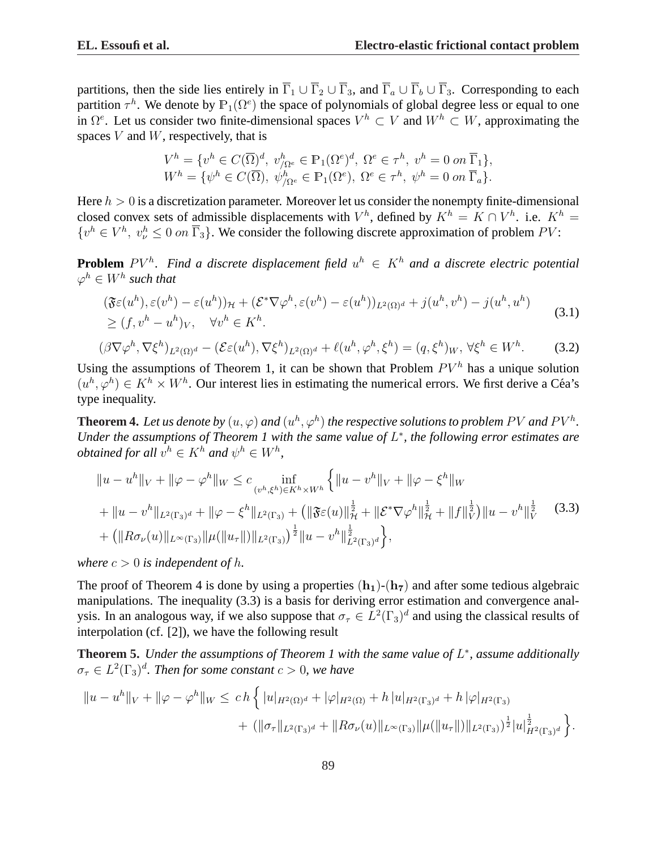partitions, then the side lies entirely in  $\overline{\Gamma}_1 \cup \overline{\Gamma}_2 \cup \overline{\Gamma}_3$ , and  $\overline{\Gamma}_a \cup \overline{\Gamma}_b \cup \overline{\Gamma}_3$ . Corresponding to each partition  $\tau^h$ . We denote by  $\mathbb{P}_1(\Omega^e)$  the space of polynomials of global degree less or equal to one in  $\Omega^e$ . Let us consider two finite-dimensional spaces  $V^h \subset V$  and  $W^h \subset W$ , approximating the spaces  $V$  and  $W$ , respectively, that is

$$
V^h = \{v^h \in C(\overline{\Omega})^d, v^h_{/\Omega^e} \in \mathbb{P}_1(\Omega^e)^d, \Omega^e \in \tau^h, v^h = 0 \text{ on } \overline{\Gamma}_1\},\
$$
  

$$
W^h = \{\psi^h \in C(\overline{\Omega}), \psi^h_{/\Omega^e} \in \mathbb{P}_1(\Omega^e), \Omega^e \in \tau^h, \psi^h = 0 \text{ on } \overline{\Gamma}_a\}.
$$

Here  $h > 0$  is a discretization parameter. Moreover let us consider the nonempty finite-dimensional closed convex sets of admissible displacements with  $V^h$ , defined by  $K^h = K \cap V^h$ . i.e.  $K^h =$  $\{v^h \in V^h, v^h_v \leq 0 \text{ on } \overline{\Gamma}_3\}$ . We consider the following discrete approximation of problem PV:

**Problem**  $PV<sup>h</sup>$ . Find a discrete displacement field  $u<sup>h</sup> \in K<sup>h</sup>$  and a discrete electric potential  $\varphi^h \in W^h$  such that

$$
(\mathfrak{F}\varepsilon(u^h), \varepsilon(v^h) - \varepsilon(u^h))_{\mathcal{H}} + (\mathcal{E}^*\nabla\varphi^h, \varepsilon(v^h) - \varepsilon(u^h))_{L^2(\Omega)^d} + j(u^h, v^h) - j(u^h, u^h)
$$
  
\n
$$
\geq (f, v^h - u^h)_V, \quad \forall v^h \in K^h.
$$
\n(3.1)

$$
(\beta \nabla \varphi^h, \nabla \xi^h)_{L^2(\Omega)^d} - (\mathcal{E} \varepsilon(u^h), \nabla \xi^h)_{L^2(\Omega)^d} + \ell(u^h, \varphi^h, \xi^h) = (q, \xi^h)_W, \forall \xi^h \in W^h. \tag{3.2}
$$

Using the assumptions of Theorem 1, it can be shown that Problem  $PV<sup>h</sup>$  has a unique solution  $(u^h, \varphi^h) \in K^h \times W^h$ . Our interest lies in estimating the numerical errors. We first derive a Céa's type inequality.

**Theorem 4.** Let us denote by  $(u, \varphi)$  and  $(u^h, \varphi^h)$  the respective solutions to problem PV and PV<sup>h</sup>. *Under the assumptions of Theorem 1 with the same value of L<sup>∗</sup>, the following error estimates are obtained for all*  $v^h \in K^h$  and  $\psi^h \in W^h$ ,

$$
||u - u^{h}||_{V} + ||\varphi - \varphi^{h}||_{W} \leq c \inf_{(v^{h}, \xi^{h}) \in K^{h} \times W^{h}} \left\{ ||u - v^{h}||_{V} + ||\varphi - \xi^{h}||_{W} \right\}
$$
  
+ 
$$
||u - v^{h}||_{L^{2}(\Gamma_{3})^{d}} + ||\varphi - \xi^{h}||_{L^{2}(\Gamma_{3})} + (||\mathfrak{F}\varepsilon(u)||_{\mathcal{H}}^{\frac{1}{2}} + ||\mathcal{E}^{*}\nabla\varphi^{h}||_{\mathcal{H}}^{\frac{1}{2}} + ||f||_{V}^{\frac{1}{2}})||u - v^{h}||_{V}^{\frac{1}{2}}
$$
(3.3)  
+ 
$$
(||R\sigma_{\nu}(u)||_{L^{\infty}(\Gamma_{3})} ||\mu(||u_{\tau}||)||_{L^{2}(\Gamma_{3})})^{\frac{1}{2}} ||u - v^{h}||_{L^{2}(\Gamma_{3})^{d}}^{\frac{1}{2}} \right\},
$$

*where*  $c > 0$  *is independent of h.* 

The proof of Theorem 4 is done by using a properties  $(h_1)$ - $(h_7)$  and after some tedious algebraic manipulations. The inequality (3.3) is a basis for deriving error estimation and convergence analysis. In an analogous way, if we also suppose that  $\sigma_{\tau} \in L^2(\Gamma_3)^d$  and using the classical results of interpolation (cf. [2]), we have the following result

**Theorem 5.** *Under the assumptions of Theorem 1 with the same value of* L ∗ *, assume additionally*  $\sigma_{\tau} \in L^2(\Gamma_3)^d$ . Then for some constant  $c > 0$ , we have

$$
||u - u^{h}||_{V} + ||\varphi - \varphi^{h}||_{W} \le ch \left\{ |u|_{H^{2}(\Omega)^{d}} + |\varphi|_{H^{2}(\Omega)} + h |u|_{H^{2}(\Gamma_{3})^{d}} + h |\varphi|_{H^{2}(\Gamma_{3})} + (||\sigma_{\tau}||_{L^{2}(\Gamma_{3})^{d}} + ||R\sigma_{\nu}(u)||_{L^{\infty}(\Gamma_{3})} ||\mu(||u_{\tau}||)||_{L^{2}(\Gamma_{3})})^{\frac{1}{2}} |u|_{H^{2}(\Gamma_{3})^{d}}^{\frac{1}{2}} \right\}.
$$